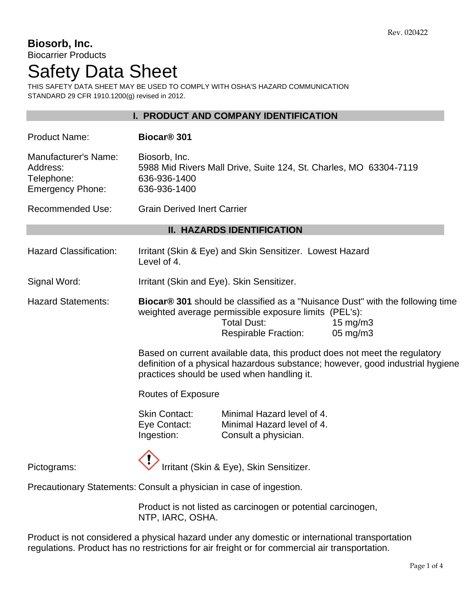#### **Biosorb, Inc.** Biocarrier Products

# Safety Data Sheet

THIS SAFETY DATA SHEET MAY BE USED TO COMPLY WITH OSHA'S HAZARD COMMUNICATION STANDARD 29 CFR 1910.1200(g) revised in 2012.

|                                                                           |                                                                                                                                                                                                                                          | I. PRODUCT AND COMPANY IDENTIFICATION                                            |  |  |
|---------------------------------------------------------------------------|------------------------------------------------------------------------------------------------------------------------------------------------------------------------------------------------------------------------------------------|----------------------------------------------------------------------------------|--|--|
| <b>Product Name:</b>                                                      | Biocar <sup>®</sup> 301                                                                                                                                                                                                                  |                                                                                  |  |  |
| <b>Manufacturer's Name:</b><br>Address:<br>Telephone:<br>Emergency Phone: | Biosorb, Inc.<br>636-936-1400<br>636-936-1400                                                                                                                                                                                            | 5988 Mid Rivers Mall Drive, Suite 124, St. Charles, MO 63304-7119                |  |  |
| <b>Recommended Use:</b>                                                   | <b>Grain Derived Inert Carrier</b>                                                                                                                                                                                                       |                                                                                  |  |  |
| <b>II. HAZARDS IDENTIFICATION</b>                                         |                                                                                                                                                                                                                                          |                                                                                  |  |  |
| <b>Hazard Classification:</b>                                             | Level of 4.                                                                                                                                                                                                                              | Irritant (Skin & Eye) and Skin Sensitizer. Lowest Hazard                         |  |  |
| Signal Word:                                                              | Irritant (Skin and Eye). Skin Sensitizer.                                                                                                                                                                                                |                                                                                  |  |  |
| <b>Hazard Statements:</b>                                                 | Biocar <sup>®</sup> 301 should be classified as a "Nuisance Dust" with the following time<br>weighted average permissible exposure limits (PEL's):<br><b>Total Dust:</b><br>$15 \text{ mg/m}$<br><b>Respirable Fraction:</b><br>05 mg/m3 |                                                                                  |  |  |
|                                                                           | Based on current available data, this product does not meet the regulatory<br>definition of a physical hazardous substance; however, good industrial hygiene<br>practices should be used when handling it.                               |                                                                                  |  |  |
|                                                                           | <b>Routes of Exposure</b>                                                                                                                                                                                                                |                                                                                  |  |  |
|                                                                           | <b>Skin Contact:</b><br>Eye Contact:<br>Ingestion:                                                                                                                                                                                       | Minimal Hazard level of 4.<br>Minimal Hazard level of 4.<br>Consult a physician. |  |  |
| Pictograms:                                                               |                                                                                                                                                                                                                                          | Irritant (Skin & Eye), Skin Sensitizer.                                          |  |  |
| Precautionary Statements: Consult a physician in case of ingestion.       |                                                                                                                                                                                                                                          |                                                                                  |  |  |
|                                                                           |                                                                                                                                                                                                                                          | Draduational liated as corpingens or potential corpingency                       |  |  |

Product is not listed as carcinogen or potential carcinogen, NTP, IARC, OSHA.

Product is not considered a physical hazard under any domestic or international transportation regulations. Product has no restrictions for air freight or for commercial air transportation.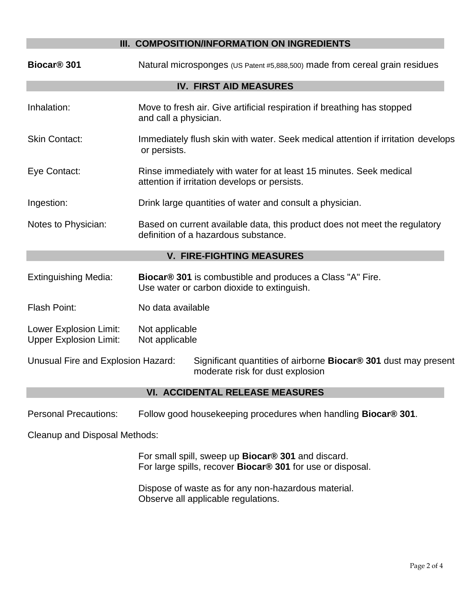# **III. COMPOSITION/INFORMATION ON INGREDIENTS Biocar® 301** Natural microsponges (US Patent #5,888,500) made from cereal grain residues **IV. FIRST AID MEASURES** Inhalation: Move to fresh air. Give artificial respiration if breathing has stopped and call a physician. Skin Contact: Immediately flush skin with water. Seek medical attention if irritation develops or persists. Eye Contact: Rinse immediately with water for at least 15 minutes. Seek medical attention if irritation develops or persists. Ingestion: Drink large quantities of water and consult a physician. Notes to Physician: Based on current available data, this product does not meet the regulatory definition of a hazardous substance. **V. FIRE-FIGHTING MEASURES** Extinguishing Media: **Biocar® 301** is combustible and produces a Class "A" Fire. Use water or carbon dioxide to extinguish. Flash Point: No data available Lower Explosion Limit: Not applicable Upper Explosion Limit: Not applicable Unusual Fire and Explosion Hazard: Significant quantities of airborne **Biocar® 301** dust may present moderate risk for dust explosion **VI. ACCIDENTAL RELEASE MEASURES**

Personal Precautions: Follow good housekeeping procedures when handling **Biocar® 301**.

Cleanup and Disposal Methods:

For small spill, sweep up **Biocar® 301** and discard. For large spills, recover **Biocar® 301** for use or disposal.

Dispose of waste as for any non-hazardous material. Observe all applicable regulations.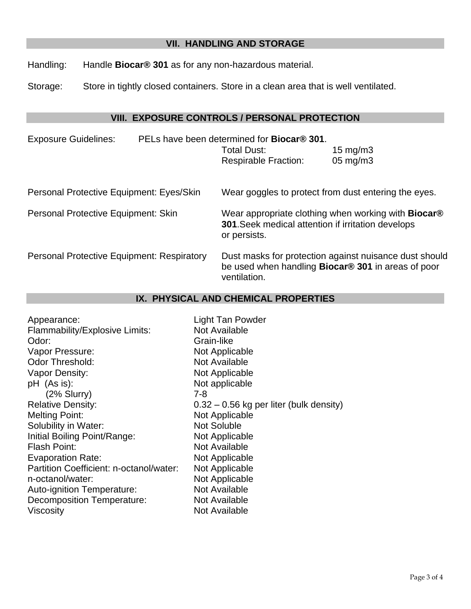## **VII. HANDLING AND STORAGE**

Handling: Handle **Biocar® 301** as for any non-hazardous material.

Storage: Store in tightly closed containers. Store in a clean area that is well ventilated.

## **VIII. EXPOSURE CONTROLS / PERSONAL PROTECTION**

| <b>Exposure Guidelines:</b>                       |  | PELs have been determined for <b>Biocar<sup>®</sup> 301</b> .<br>Total Dust:<br><b>Respirable Fraction:</b>                                    | 15 mg/m $3$<br>$05 \text{ mg/m}$ 3 |
|---------------------------------------------------|--|------------------------------------------------------------------------------------------------------------------------------------------------|------------------------------------|
| Personal Protective Equipment: Eyes/Skin          |  | Wear goggles to protect from dust entering the eyes.                                                                                           |                                    |
| Personal Protective Equipment: Skin               |  | Wear appropriate clothing when working with <b>Biocar</b> <sup>®</sup><br>301. Seek medical attention if irritation develops<br>or persists.   |                                    |
| <b>Personal Protective Equipment: Respiratory</b> |  | Dust masks for protection against nuisance dust should<br>be used when handling <b>Biocar<sup>®</sup> 301</b> in areas of poor<br>ventilation. |                                    |

# **IX. PHYSICAL AND CHEMICAL PROPERTIES**

| <b>Light Tan Powder</b>                   |
|-------------------------------------------|
| Not Available                             |
| Grain-like                                |
| Not Applicable                            |
| <b>Not Available</b>                      |
| Not Applicable                            |
| Not applicable                            |
| $7 - 8$                                   |
| $0.32 - 0.56$ kg per liter (bulk density) |
| Not Applicable                            |
| <b>Not Soluble</b>                        |
| Not Applicable                            |
| Not Available                             |
| Not Applicable                            |
| Not Applicable                            |
| Not Applicable                            |
| <b>Not Available</b>                      |
| Not Available                             |
| Not Available                             |
|                                           |